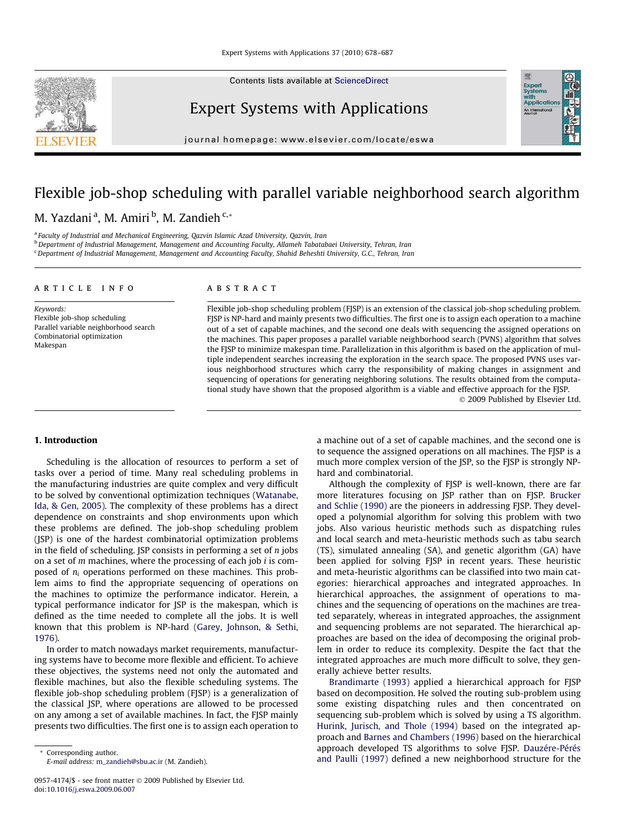Contents lists available at [ScienceDirect](http://www.sciencedirect.com/science/journal/09574174)

### Expert Systems with Applications

journal homepage: [www.elsevier.com/locate/eswa](http://www.elsevier.com/locate/eswa)

## Flexible job-shop scheduling with parallel variable neighborhood search algorithm

### M. Yazdani <sup>a</sup>, M. Amiri <sup>b</sup>, M. Zandieh <sup>c,</sup>\*

<sup>a</sup> Faculty of Industrial and Mechanical Engineering, Qazvin Islamic Azad University, Qazvin, Iran

<sup>b</sup> Department of Industrial Management, Management and Accounting Faculty, Allameh Tabatabaei University, Tehran, Iran

<sup>c</sup> Department of Industrial Management, Management and Accounting Faculty, Shahid Beheshti University, G.C., Tehran, Iran

#### article info

Keywords: Flexible job-shop scheduling Parallel variable neighborhood search Combinatorial optimization Makespan

#### ABSTRACT

Flexible job-shop scheduling problem (FJSP) is an extension of the classical job-shop scheduling problem. FJSP is NP-hard and mainly presents two difficulties. The first one is to assign each operation to a machine out of a set of capable machines, and the second one deals with sequencing the assigned operations on the machines. This paper proposes a parallel variable neighborhood search (PVNS) algorithm that solves the FJSP to minimize makespan time. Parallelization in this algorithm is based on the application of multiple independent searches increasing the exploration in the search space. The proposed PVNS uses various neighborhood structures which carry the responsibility of making changes in assignment and sequencing of operations for generating neighboring solutions. The results obtained from the computational study have shown that the proposed algorithm is a viable and effective approach for the FJSP.

- 2009 Published by Elsevier Ltd.

#### 1. Introduction

Scheduling is the allocation of resources to perform a set of tasks over a period of time. Many real scheduling problems in the manufacturing industries are quite complex and very difficult to be solved by conventional optimization techniques ([Watanabe,](#page--1-0) [Ida, & Gen, 2005\)](#page--1-0). The complexity of these problems has a direct dependence on constraints and shop environments upon which these problems are defined. The job-shop scheduling problem (JSP) is one of the hardest combinatorial optimization problems in the field of scheduling. JSP consists in performing a set of  $n$  jobs on a set of  $m$  machines, where the processing of each job  $i$  is composed of  $n_i$  operations performed on these machines. This problem aims to find the appropriate sequencing of operations on the machines to optimize the performance indicator. Herein, a typical performance indicator for JSP is the makespan, which is defined as the time needed to complete all the jobs. It is well known that this problem is NP-hard ([Garey, Johnson, & Sethi,](#page--1-0) [1976\)](#page--1-0).

In order to match nowadays market requirements, manufacturing systems have to become more flexible and efficient. To achieve these objectives, the systems need not only the automated and flexible machines, but also the flexible scheduling systems. The flexible job-shop scheduling problem (FJSP) is a generalization of the classical JSP, where operations are allowed to be processed on any among a set of available machines. In fact, the FJSP mainly presents two difficulties. The first one is to assign each operation to

\* Corresponding author. E-mail address: [m\\_zandieh@sbu.ac.ir](mailto:m_zandieh@sbu.ac.ir) (M. Zandieh). a machine out of a set of capable machines, and the second one is to sequence the assigned operations on all machines. The FJSP is a much more complex version of the JSP, so the FJSP is strongly NPhard and combinatorial. Although the complexity of FJSP is well-known, there are far

more literatures focusing on JSP rather than on FJSP. [Brucker](#page--1-0) [and Schlie \(1990\)](#page--1-0) are the pioneers in addressing FJSP. They developed a polynomial algorithm for solving this problem with two jobs. Also various heuristic methods such as dispatching rules and local search and meta-heuristic methods such as tabu search (TS), simulated annealing (SA), and genetic algorithm (GA) have been applied for solving FJSP in recent years. These heuristic and meta-heuristic algorithms can be classified into two main categories: hierarchical approaches and integrated approaches. In hierarchical approaches, the assignment of operations to machines and the sequencing of operations on the machines are treated separately, whereas in integrated approaches, the assignment and sequencing problems are not separated. The hierarchical approaches are based on the idea of decomposing the original problem in order to reduce its complexity. Despite the fact that the integrated approaches are much more difficult to solve, they generally achieve better results.

[Brandimarte \(1993\)](#page--1-0) applied a hierarchical approach for FJSP based on decomposition. He solved the routing sub-problem using some existing dispatching rules and then concentrated on sequencing sub-problem which is solved by using a TS algorithm. [Hurink, Jurisch, and Thole \(1994\)](#page--1-0) based on the integrated approach and [Barnes and Chambers \(1996\)](#page--1-0) based on the hierarchical approach developed TS algorithms to solve FJSP. [Dauzére-Pérés](#page--1-0) [and Paulli \(1997\)](#page--1-0) defined a new neighborhood structure for the



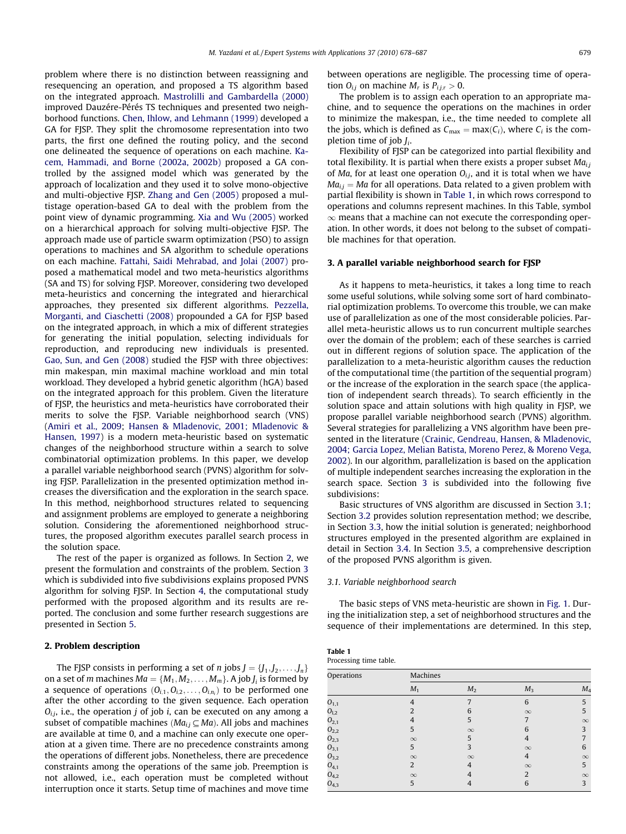problem where there is no distinction between reassigning and resequencing an operation, and proposed a TS algorithm based on the integrated approach. [Mastrolilli and Gambardella \(2000\)](#page--1-0) improved Dauzére-Pérés TS techniques and presented two neighborhood functions. [Chen, Ihlow, and Lehmann \(1999\)](#page--1-0) developed a GA for FJSP. They split the chromosome representation into two parts, the first one defined the routing policy, and the second one delineated the sequence of operations on each machine. [Ka](#page--1-0)[cem, Hammadi, and Borne \(2002a, 2002b\)](#page--1-0) proposed a GA controlled by the assigned model which was generated by the approach of localization and they used it to solve mono-objective and multi-objective FJSP. [Zhang and Gen \(2005\)](#page--1-0) proposed a multistage operation-based GA to deal with the problem from the point view of dynamic programming. [Xia and Wu \(2005\)](#page--1-0) worked on a hierarchical approach for solving multi-objective FJSP. The approach made use of particle swarm optimization (PSO) to assign operations to machines and SA algorithm to schedule operations on each machine. [Fattahi, Saidi Mehrabad, and Jolai \(2007\)](#page--1-0) proposed a mathematical model and two meta-heuristics algorithms (SA and TS) for solving FJSP. Moreover, considering two developed meta-heuristics and concerning the integrated and hierarchical approaches, they presented six different algorithms. [Pezzella,](#page--1-0) [Morganti, and Ciaschetti \(2008\)](#page--1-0) propounded a GA for FJSP based on the integrated approach, in which a mix of different strategies for generating the initial population, selecting individuals for reproduction, and reproducing new individuals is presented. [Gao, Sun, and Gen \(2008\)](#page--1-0) studied the FJSP with three objectives: min makespan, min maximal machine workload and min total workload. They developed a hybrid genetic algorithm (hGA) based on the integrated approach for this problem. Given the literature of FJSP, the heuristics and meta-heuristics have corroborated their merits to solve the FJSP. Variable neighborhood search (VNS) ([Amiri et al., 2009;](#page--1-0) [Hansen & Mladenovic, 2001; Mladenovic &](#page--1-0) [Hansen, 1997\)](#page--1-0) is a modern meta-heuristic based on systematic changes of the neighborhood structure within a search to solve combinatorial optimization problems. In this paper, we develop a parallel variable neighborhood search (PVNS) algorithm for solving FJSP. Parallelization in the presented optimization method increases the diversification and the exploration in the search space. In this method, neighborhood structures related to sequencing and assignment problems are employed to generate a neighboring solution. Considering the aforementioned neighborhood structures, the proposed algorithm executes parallel search process in the solution space.

The rest of the paper is organized as follows. In Section 2, we present the formulation and constraints of the problem. Section 3 which is subdivided into five subdivisions explains proposed PVNS algorithm for solving FJSP. In Section [4,](#page--1-0) the computational study performed with the proposed algorithm and its results are reported. The conclusion and some further research suggestions are presented in Section [5.](#page--1-0)

#### 2. Problem description

The FJSP consists in performing a set of *n* jobs  $J = \{J_1, J_2, \ldots, J_n\}$ on a set of m machines  $Ma = \{M_1, M_2, \ldots, M_m\}$ . A job  $J_i$  is formed by a sequence of operations  $(O_{i,1}, O_{i,2}, \ldots, O_{i,n_i})$  to be performed one after the other according to the given sequence. Each operation  $O_{i,j}$ , i.e., the operation j of job i, can be executed on any among a subset of compatible machines ( $Ma_{ij} \subseteq Ma$ ). All jobs and machines are available at time 0, and a machine can only execute one operation at a given time. There are no precedence constraints among the operations of different jobs. Nonetheless, there are precedence constraints among the operations of the same job. Preemption is not allowed, i.e., each operation must be completed without interruption once it starts. Setup time of machines and move time between operations are negligible. The processing time of operation  $O_{ij}$  on machine  $M_r$  is  $P_{ijr} > 0$ .

The problem is to assign each operation to an appropriate machine, and to sequence the operations on the machines in order to minimize the makespan, i.e., the time needed to complete all the jobs, which is defined as  $C_{\text{max}} = \text{max}(C_i)$ , where  $C_i$  is the completion time of job  $J_i$ .

Flexibility of FJSP can be categorized into partial flexibility and total flexibility. It is partial when there exists a proper subset  $Ma_{i,j}$ of Ma, for at least one operation  $O_{i,j}$ , and it is total when we have  $Ma_{i,j} = Ma$  for all operations. Data related to a given problem with partial flexibility is shown in Table 1, in which rows correspond to operations and columns represent machines. In this Table, symbol  $\infty$  means that a machine can not execute the corresponding operation. In other words, it does not belong to the subset of compatible machines for that operation.

#### 3. A parallel variable neighborhood search for FJSP

As it happens to meta-heuristics, it takes a long time to reach some useful solutions, while solving some sort of hard combinatorial optimization problems. To overcome this trouble, we can make use of parallelization as one of the most considerable policies. Parallel meta-heuristic allows us to run concurrent multiple searches over the domain of the problem; each of these searches is carried out in different regions of solution space. The application of the parallelization to a meta-heuristic algorithm causes the reduction of the computational time (the partition of the sequential program) or the increase of the exploration in the search space (the application of independent search threads). To search efficiently in the solution space and attain solutions with high quality in FJSP, we propose parallel variable neighborhood search (PVNS) algorithm. Several strategies for parallelizing a VNS algorithm have been presented in the literature ([Crainic, Gendreau, Hansen, & Mladenovic,](#page--1-0) [2004; Garcia Lopez, Melian Batista, Moreno Perez, & Moreno Vega,](#page--1-0) [2002](#page--1-0)). In our algorithm, parallelization is based on the application of multiple independent searches increasing the exploration in the search space. Section 3 is subdivided into the following five subdivisions:

Basic structures of VNS algorithm are discussed in Section 3.1; Section [3.2](#page--1-0) provides solution representation method; we describe, in Section [3.3,](#page--1-0) how the initial solution is generated; neighborhood structures employed in the presented algorithm are explained in detail in Section [3.4.](#page--1-0) In Section [3.5,](#page--1-0) a comprehensive description of the proposed PVNS algorithm is given.

#### 3.1. Variable neighborhood search

The basic steps of VNS meta-heuristic are shown in [Fig. 1.](#page--1-0) During the initialization step, a set of neighborhood structures and the sequence of their implementations are determined. In this step,

| Table 1                |
|------------------------|
| Processing time table. |

| Operations | Machines       |                |                |          |
|------------|----------------|----------------|----------------|----------|
|            | $M_1$          | M <sub>2</sub> | $M_3$          | $M_4$    |
| $O_{1,1}$  | 4              |                | 6              | 5        |
| $O_{1,2}$  | $\overline{2}$ | 6              | $\infty$       | 5        |
| $O_{2,1}$  |                | 5              | 7              | $\infty$ |
| $O_{2,2}$  | 5              | $\infty$       | 6              | 3        |
| $O_{2,3}$  | $\infty$       | 5              | 4              | 7        |
| $O_{3,1}$  | 5              | 3              | $\infty$       | 6        |
| $O_{3,2}$  | $\infty$       | $\infty$       | $\overline{4}$ | $\infty$ |
| $O_{4,1}$  | $\overline{2}$ | 4              | $\infty$       | 5        |
| $O_{4,2}$  | $\infty$       |                | $\overline{2}$ | $\infty$ |
| $O_{4,3}$  | 5              | 4              | 6              | 3        |